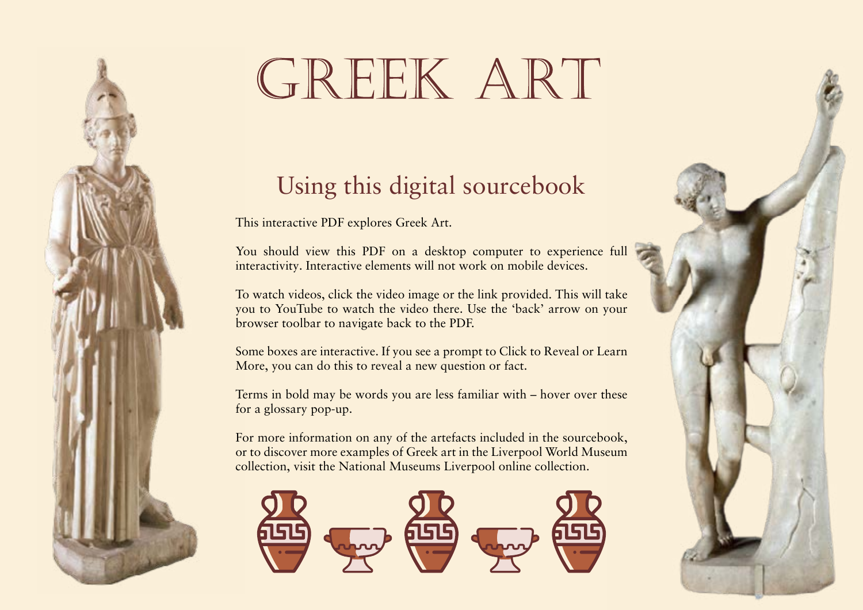# GREEK ART

# Using this digital sourcebook

This interactive PDF explores Greek Art.

You should view this PDF on a desktop computer to experience full interactivity. Interactive elements will not work on mobile devices.

To watch videos, click the video image or the link provided. This will take you to YouTube to watch the video there. Use the 'back' arrow on your browser toolbar to navigate back to the PDF.

Some boxes are interactive. If you see a prompt to Click to Reveal or Learn More, you can do this to reveal a new question or fact.

Terms in bold may be words you are less familiar with – hover over these for a glossary pop-up.

For more information on any of the artefacts included in the sourcebook, or to discover more examples of Greek art in the Liverpool World Museum collection, visit the National Museums Liverpool online collection.



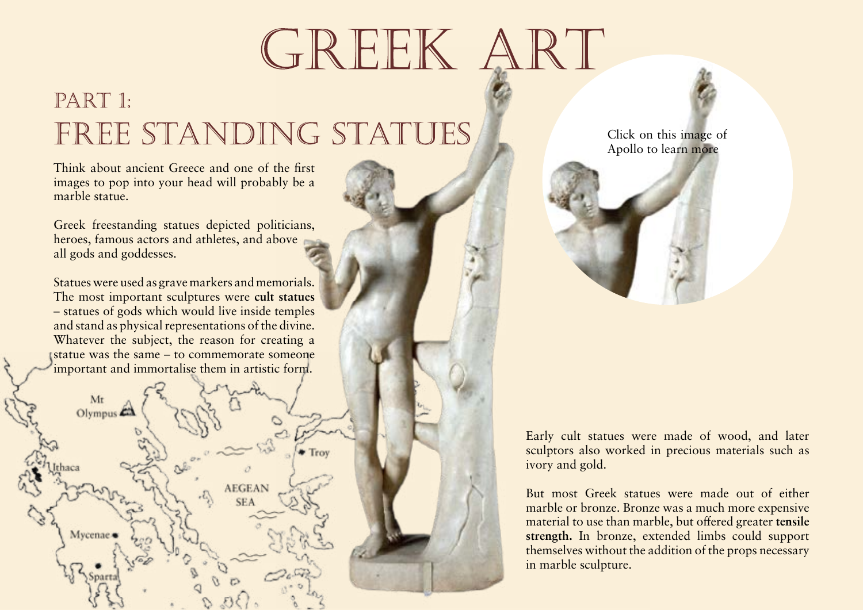# GREEK ART

# PART 1: FREE STANDING STATUES

Think about ancient Greece and one of the first images to pop into your head will probably be a marble statue.

Greek freestanding statues depicted politicians, heroes, famous actors and athletes, and above all gods and goddesses.

Statues were used as grave markers and memorials. The most important sculptures were **cult statues** 

 $-$  statues of gods which w and stand as physical repre Whatever the subject, the **statue** was the same  $-$  to important and immortalis

Statues which represented a particular god or goddess and were worshipped in the god's place



Click on this image of Apollo to learn more

Notice in this statue of Apollo how he leans against the branch of the tree – this is a cleverly stylised function of carving in marble. If not for this detail, his heavy arm would snap and drop off. Two more branches lower down on the trunk provide support for the god's body.

Early cult statues were made of wood, and later sculptors also worked in precious materials such as ivory and gold.

But most Greek statues were made out of either marble or bronze. Bronze was a much more expensive material to use than marble, but offered greater **tensile strength In broad support** could support that could support the could support that could support that could support that could support that could support that could support that could support that could support that cou themselves The maximum load or stress a material  $\frac{1}{\text{ary}}$ in marb can withstand before it breaks; bronze is stronger than marble so doesn't break as easily under its own weight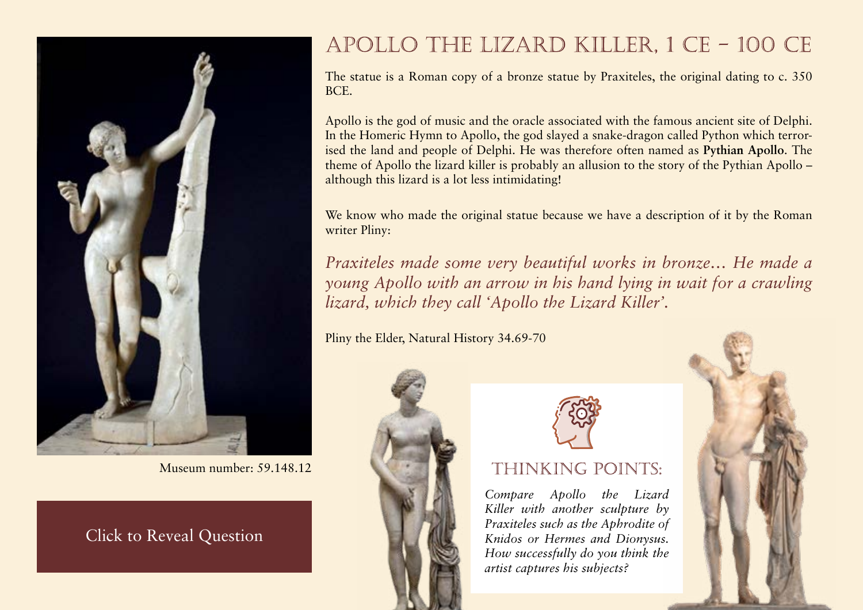

Museum number: 59.148.12

Greek original. What modifications may have<br>been made to adapt it from bronze to marble? **This statue is a Roman marble copy of a bronze Greek original. What modifications may have Does this limit its usefulness as a source?**

# APOLLO THE LIZARD KILLER, 1 CE - 100 CE

The statue is a Roman copy of a bronze statue by Praxiteles, the original dating to c. 350 BCE.

Apollo is the god of music and the oracle associated with the famous ancient site of Delphi. In the Homeric Hymn to Apollo, the god slayed a snake-dragon called Python which terrorised the land and people of Delphi. He was therefore often named as **Pythian Apollo**. The

theme of Apollo the lizard killer is probably an allusion to although this lizard is a lot less intimidating!

One of Apollo's titles, it refers to his defeat of the monstrous Python at Delphi

We know who made the original statue because we have writer Pliny:

*Praxiteles made some very beautiful works in bronze… He made a young Apollo with an arrow in his hand lying in wait for a crawling lizard, which they call 'Apollo the Lizard Killer'.* 

Pliny the Elder, Natural History 34.69-70





## THINKING POINTS:

*Compare Apollo the Lizard Killer with another sculpture by Praxiteles such as the Aphrodite of Knidos or Hermes and Dionysus. How successfully do you think the artist captures his subjects?*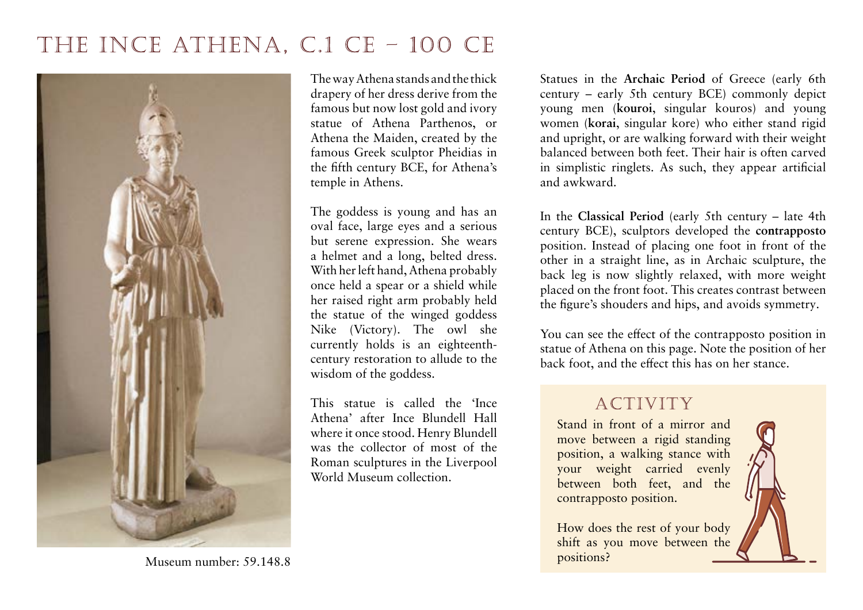

century to early 5th century BCE in

The way Athena st Greece drapery of her dre famous but now lost gold and ivory statue of Athena Par Athena the Maiden, cre famous Greek sculptor the fifth century BCE, for Athena's temple in Athens. depicted young women

The goddess is young and has an oval face, large eyes and a serious but serene expression. She wears a helmet and a long, belted dress. With her left hand, Athena probably once held a spear or a shield while her raised right arm probably held the statue of the winged goddess Nike (Victory). The owl she currently holds is an eighteenthcentury restoration to allude to the wisdom of the goddess.

This statue is called the 'Ince Athena' after Ince Blundell Hall where it once stood. Henry Blundell was the collector of most of the Roman sculptures in the Liverpool World Museum collection.

Archaic Period of Greece (early 6th y 5th century BCE) commonly depict young men (**kouroi**, singular kota and young men  $\kappa$  (**korai**, singular direct statues which gid Greek statues which  $\frac{1}{\pi}$  right, or are wall depicted young men  $\frac{1}{\pi}$  depicted with  $\frac{1}{\pi}$ d between both teet. Their hair is often carved in simplistic ringlets. As such, they appear artificial and awkward. Greek statues which depicted young men

|                                   | In the Classical Period (early 5th century – late 4th            |
|-----------------------------------|------------------------------------------------------------------|
| An artistic period from early 5th | the contrapposto                                                 |
|                                   | century to late $4th \cdot A$ position in which a statue has its |
| Greece                            | legs apart with more weight placed                               |
| piaceu on the fron                | on the front leg                                                 |
|                                   | the figure's shouders and mps, and avoids symmetry.              |

You can see the effect of the contrapposto position in statue of Athena on this page. Note the position of her back foot, and the effect this has on her stance.

Stand in front of a mirror and move between a rigid standing position, a walking stance with your weight carried evenly between both feet, and the contrapposto position.

How does the rest of your body shift as you move between the positions?

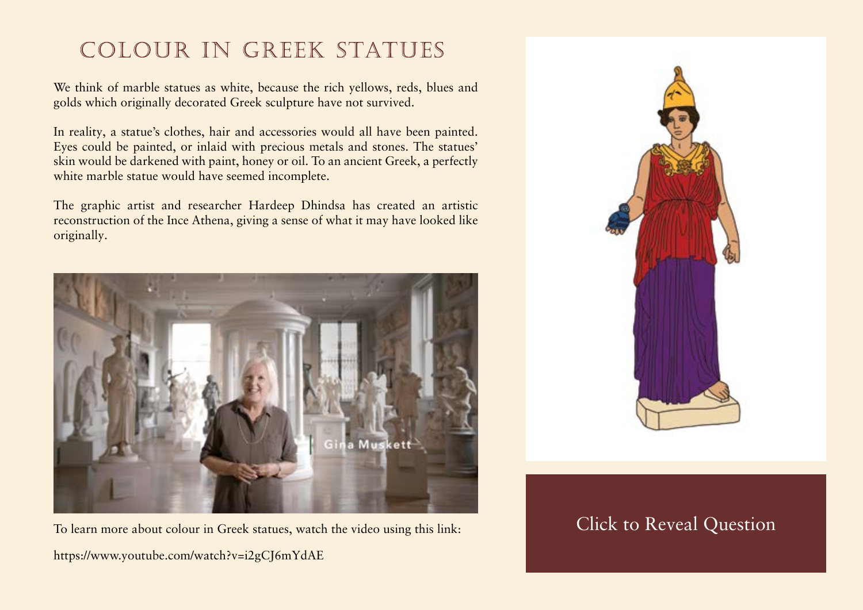# COLOUR IN GREEK STATUES

We think of marble statues as white, because the rich yellows, reds, blues and golds which originally decorated Greek sculpture have not survived.

In reality, a statue's clothes, hair and accessories would all have been painted. Eyes could be painted, or inlaid with precious metals and stones. The statues' skin would be darkened with paint, honey or oil. To an ancient Greek, a perfectly white marble statue would have seemed incomplete.

The graphic artist and researcher Hardeep Dhindsa has created an artistic reconstruction of the Ince Athena, giving a sense of what it may have looked like originally.



To learn more about colour in Greek statues, watch the video using this link: <https://www.youtube.com/watch?v=i2gCJ6mYdAE>



### $\mathbb{C}^{1}$  1  $\mathbb{R}$  1  $\mathbb{C}$   $\mathbb{R}$   $\mathbb{R}$  1  $\mathbb{C}$   $\mathbb{R}$   $\mathbb{R}$   $\mathbb{R}$   $\mathbb{R}$   $\mathbb{R}$   $\mathbb{R}$   $\mathbb{R}$   $\mathbb{R}$   $\mathbb{R}$   $\mathbb{R}$   $\mathbb{R}$   $\mathbb{R}$   $\mathbb{R}$   $\mathbb{R}$   $\mathbb{R}$   $\mathbb{R}$   $\mathbb{R}$   $\mathbb{$ **dark to Reveal Question**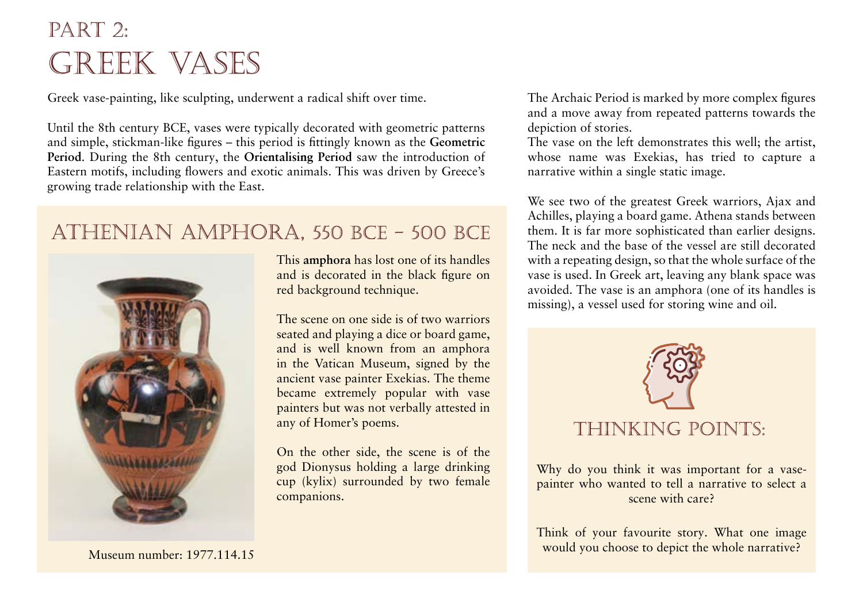# $PART$  2: **GREEK VASES**

Greek vase-painting, like sculpting, underwent a radical shift over time.

Until the 8th century BCE, vases were typically decorated with geometric patterns and simple, stickman-like figures – this period is fittingly known as the **Geometric Period.** During the 8th century, the Orientalising Period satisfic period in Greece

Eastern motifs, including fl growing trade relationship

An artistic period during the 8th century BCE in Greece during which Eastern motifs were introduced to Greek vases

jich vases were decorated le geometric patterns



This **amphora** has lost one of its handles

A vase with two handles used to **figure on** 

The scene on one side is of two warriors seated and playing a dice or board game, and is well known from an amphora in the Vatican Museum, signed by the ancient vase painter Exekias. The theme became extremely popular with vase painters but was not verbally attested in any of Homer's poems.

On the other side, the scene is of the god Dionysus holding a large drinking cup (kylix) surrounded by two female companions.

The Archaic Period is marked by more complex figures and a move away from repeated patterns towards the depiction of stories.

The vase on the left demonstrates this well; the artist,

e name was Exekias, has tried to capture a tive within a single static image.

ee two of the greatest Greek warriors, Ajax and Achilles, playing a board game. Athena stands between them. It is far more sophisticated than earlier designs. The neck and the base of the vessel are still decorated with a repeating design, so that the whole surface of the vase is used. In Greek art, leaving any blank space was avoided. The vase is an amphora (one of its handles is missing), a vessel used for storing wine and oil.



Why do you think it was important for a vasepainter who wanted to tell a narrative to select a scene with care?

Think of your favourite story. What one image would you choose to depict the whole narrative?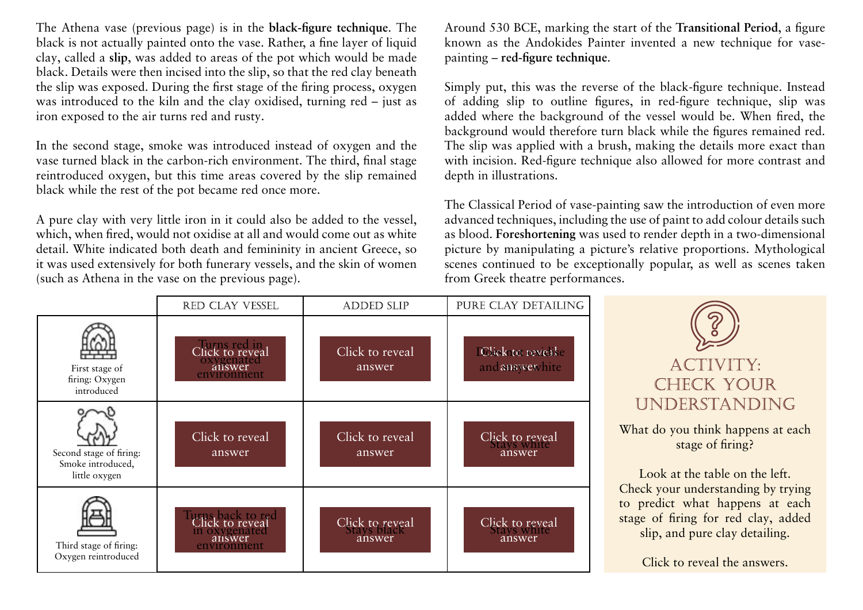The Athena vase (previous page) is in the **black-figure technique**. The black is not actually painted onto the clay, called a slip, was added to areas The earlier of two techniques employed in Greek vase painting in

black were then incised into the slip of the slip of the slip of the red clay beneath the slip of the red clay beneath the red clay beneath the red clay beneath the red clay beneath the red clay beneath the red clay beneat A layer of liquid clay applied to a which black figures were placed. vase before firing red background red background

iron exposed to the air turns red and rusty.

In the second stage, smoke was introduced instead of oxygen and the vase turned black in the carbon-rich environment. The third, final stage reintroduced oxygen, but this time areas covered by the slip remained black while the rest of the pot became red once more.

A pure clay with very little iron in it could also be added to the vessel, which, when fired, would not oxidise at all and would come out as white detail. White indicated both death and femininity in ancient Greece, so it was used extensively for both funerary vessels, and the skin of women (such as Athena in the vase on the previous page).

Around 530 BCE, marking the start of the **Transitional Period**, a figure hown as the Andokides Paint The period, starting around 530

painting – **red-figure technique**.

 $RCF$  in which red-figure technique

The later of two techniques veloped and grew more employed in Greek vase painting in nt which red figures were placed on a

 $\alpha$  which red figures were placed on a  $\alpha$  al would be. When fired, the black background

 $b_i$  black background hile the figures remained red.

The slip was applied with a brush, making the details more exact than with incision. Red-figure technique also allowed for more contrast and depth in illustrations.

The Classical Period of va $\overline{p}$ from Greek theatre performances.

advanced techniques, including the indipermising to a picture  $\frac{1}{s}$  such as blood. **Foreshortening** was used to render depth in a two-dimensional picture by manipulating  $\frac{\text{amensions image} }{\text{mage}}$  relative proportions. scenes continued to be  $e^{i \cdot \text{OPT}}$  or depth The manipulation of a picture's proportions to give a twodimensional image the appearance of depth

RED CLAY VESSEL PURE CLAY DETAILING **ADDED SLIP** Click to reveal Click to reveal IClick to reveale oxygenated  $\frac{1}{2}$ answer environment answer and answer hite First stage of firing: Oxygen introduced n<br>Turks blacksports n<br>Turks blackson Click to reveal Click to reveal Click to reveal answer<br>answer<br>lick to revea answer answer answer Second stage of firing: Smoke introduced, little oxygen Click to reveal Turns back to red Click to reveal Click to reveal in oxygenated  $\frac{1}{2}$  black  $\frac{1}{2}$  black  $\frac{1}{2}$  black  $\frac{1}{2}$  black  $\frac{1}{2}$  black  $\frac{1}{2}$  black  $\frac{1}{2}$  black  $\frac{1}{2}$  black  $\frac{1}{2}$  black  $\frac{1}{2}$  black  $\frac{1}{2}$  black  $\frac{1}{2}$  black  $\frac{1}{2}$  black  $\frac{1}{2}$  bla answer answer Third stage of firing: Oxygen reintroduced

which black figures were placed on

a red background

ACTIVITY: CHECK YOUR UNDERSTANDING

What do you think happens at each stage of firing?

Look at the table on the left. Check your understanding by trying to predict what happens at each stage of firing for red clay, added slip, and pure clay detailing.

Click to reveal the answers.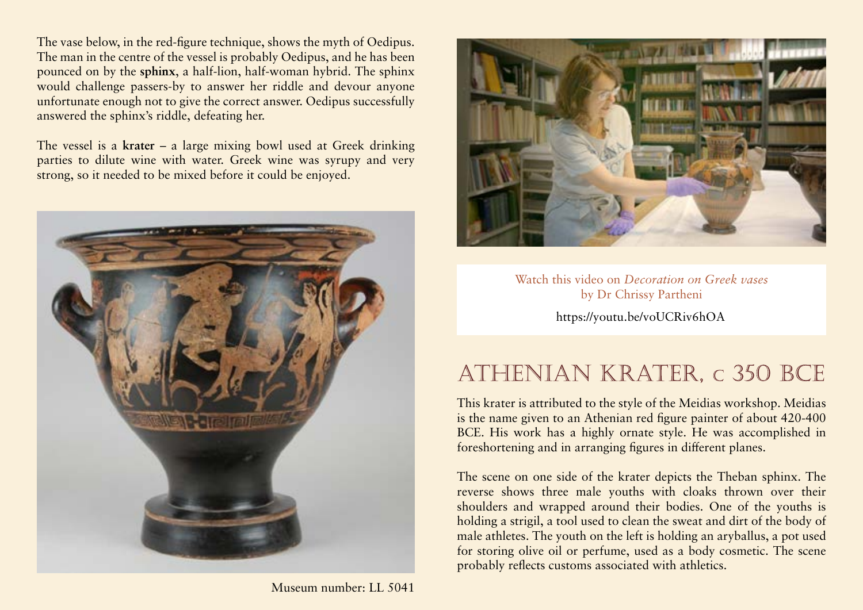The vase below, in the red-figure technique, shows the myth of Oedipus. The man in the centre of the vessel is probably Oedipus, and he has been pounced on by the **sphinx**, a half-lion, half-woman hybrid. The sphinx would challenge passers-by to answer her riddle and devour anyone A half-lion, half-woman monster

 $\frac{u_{\text{mfo}}}{u_{\text{mfo}}}$  A half-lion, half-woman monster  $\frac{1}{\text{swer. }O}$  Oedipus successfully answered the sphink who would challenge passers-by with riddles

The vessel is a **krater** – a large mixing bowl used at Greek drinking

A large vase used to mix syrupy it could be enjoyed. wine with water at dinner parties

bek wine was syrupy and very.



Museum number: LL 5041



### Watch this video on *Decoration on Greek vases* by Dr Chrissy Partheni <https://youtu.be/voUCRiv6hOA>

# ATHENIAN KRATER, c 350 BCE

This krater is attributed to the style of the Meidias workshop. Meidias is the name given to an Athenian red figure painter of about 420-400 BCE. His work has a highly ornate style. He was accomplished in foreshortening and in arranging figures in different planes.

The scene on one side of the krater depicts the Theban sphinx. The reverse shows three male youths with cloaks thrown over their shoulders and wrapped around their bodies. One of the youths is holding a strigil, a tool used to clean the sweat and dirt of the body of male athletes. The youth on the left is holding an aryballus, a pot used for storing olive oil or perfume, used as a body cosmetic. The scene probably reflects customs associated with athletics.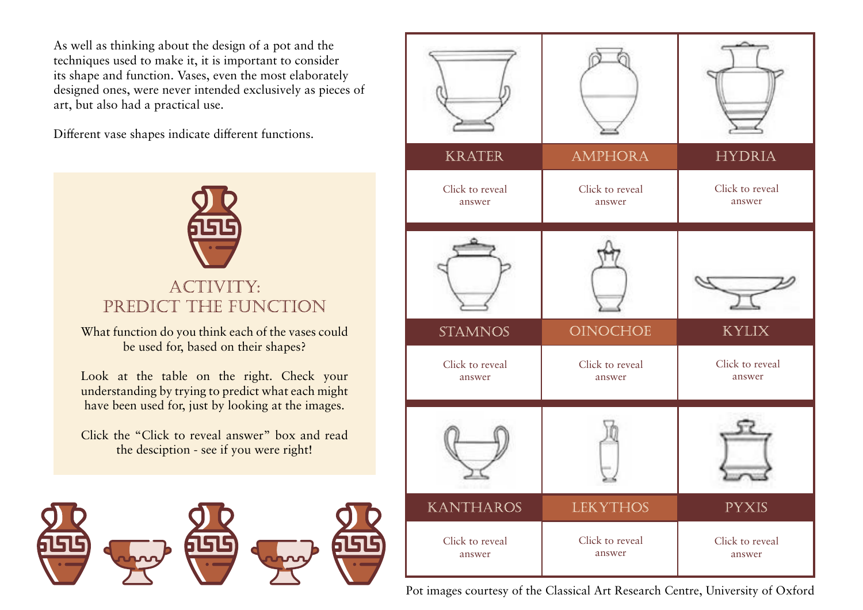As well as thinking about the design of a pot and the techniques used to make it, it is important to consider its shape and function. Vases, even the most elaborately designed ones, were never intended exclusively as pieces of art, but also had a practical use.

Different vase shapes indicate different functions.



# PREDICT THE FUNCTION

What function do you think each of the vases could be used for, based on their shapes?

Look at the table on the right. Check your understanding by trying to predict what each might have been used for, just by looking at the images.

Click the "Click to reveal answer" box and read the desciption - see if you were right!



| <b>KRATER</b>             | <b>AMPHORA</b>            | <b>HYDRIA</b>             |
|---------------------------|---------------------------|---------------------------|
| Click to reveal<br>answer | Click to reveal<br>answer | Click to reveal<br>answer |
|                           |                           |                           |
| <b>STAMNOS</b>            | OINOCHOE                  | <b>KYLIX</b>              |
| Click to reveal<br>answer | Click to reveal<br>answer | Click to reveal<br>answer |
|                           |                           |                           |
| <b>KANTHAROS</b>          | <b>LEKYTHOS</b>           | <b>PYXIS</b>              |
| Click to reveal<br>answer | Click to reveal<br>answer | Click to reveal<br>answer |

Pot images courtesy of the Classical Art Research Centre, University of Oxford